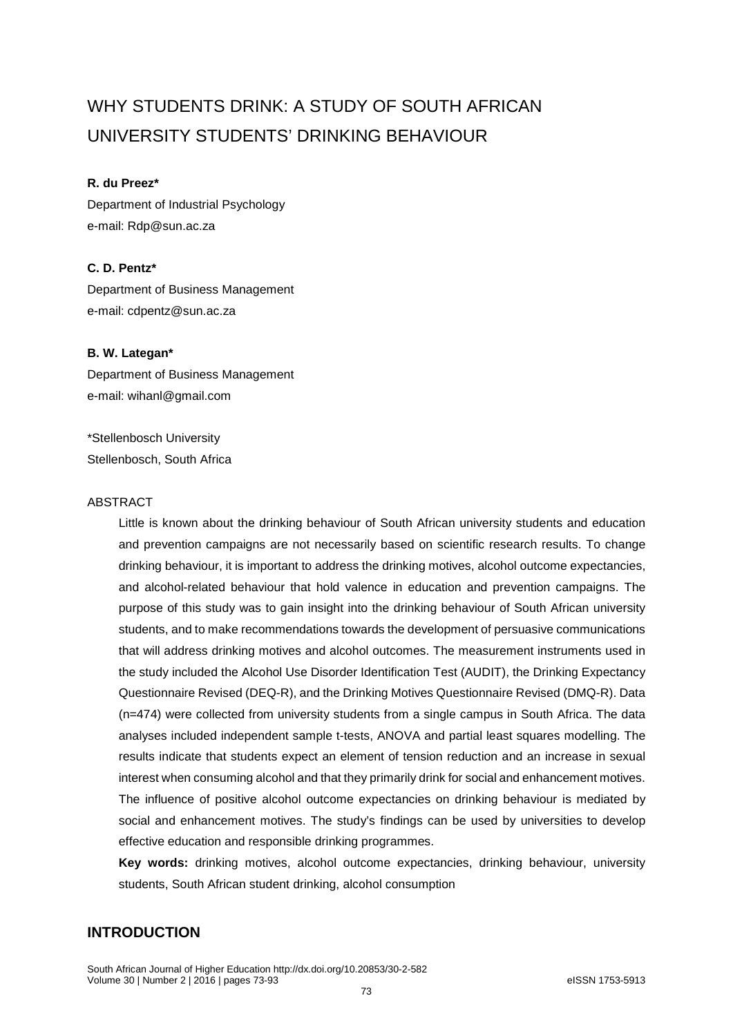# WHY STUDENTS DRINK: A STUDY OF SOUTH AFRICAN UNIVERSITY STUDENTS' DRINKING BEHAVIOUR

## **R. du Preez\***

Department of Industrial Psychology e-mail: Rdp@sun.ac.za

# **C. D. Pentz\***

Department of Business Management e-mail: cdpentz@sun.ac.za

## **B. W. Lategan\***

Department of Business Management e-mail: wihanl@gmail.com

\*Stellenbosch University Stellenbosch, South Africa

#### ABSTRACT

Little is known about the drinking behaviour of South African university students and education and prevention campaigns are not necessarily based on scientific research results. To change drinking behaviour, it is important to address the drinking motives, alcohol outcome expectancies, and alcohol-related behaviour that hold valence in education and prevention campaigns. The purpose of this study was to gain insight into the drinking behaviour of South African university students, and to make recommendations towards the development of persuasive communications that will address drinking motives and alcohol outcomes. The measurement instruments used in the study included the Alcohol Use Disorder Identification Test (AUDIT), the Drinking Expectancy Questionnaire Revised (DEQ-R), and the Drinking Motives Questionnaire Revised (DMQ-R). Data (n=474) were collected from university students from a single campus in South Africa. The data analyses included independent sample t-tests, ANOVA and partial least squares modelling. The results indicate that students expect an element of tension reduction and an increase in sexual interest when consuming alcohol and that they primarily drink for social and enhancement motives. The influence of positive alcohol outcome expectancies on drinking behaviour is mediated by social and enhancement motives. The study's findings can be used by universities to develop effective education and responsible drinking programmes.

**Key words:** drinking motives, alcohol outcome expectancies, drinking behaviour, university students, South African student drinking, alcohol consumption

# **INTRODUCTION**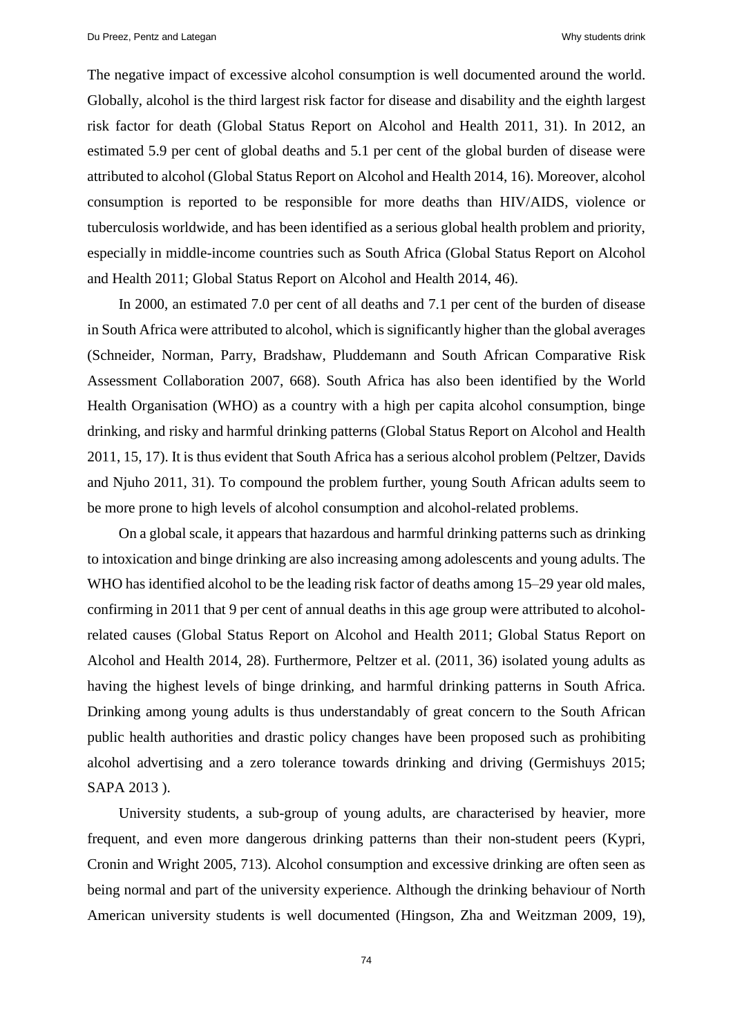The negative impact of excessive alcohol consumption is well documented around the world. Globally, alcohol is the third largest risk factor for disease and disability and the eighth largest risk factor for death (Global Status Report on Alcohol and Health 2011, 31). In 2012, an estimated 5.9 per cent of global deaths and 5.1 per cent of the global burden of disease were attributed to alcohol (Global Status Report on Alcohol and Health 2014, 16). Moreover, alcohol consumption is reported to be responsible for more deaths than HIV/AIDS, violence or tuberculosis worldwide, and has been identified as a serious global health problem and priority, especially in middle-income countries such as South Africa (Global Status Report on Alcohol and Health 2011; Global Status Report on Alcohol and Health 2014, 46).

In 2000, an estimated 7.0 per cent of all deaths and 7.1 per cent of the burden of disease in South Africa were attributed to alcohol, which is significantly higher than the global averages (Schneider, Norman, Parry, Bradshaw, Pluddemann and South African Comparative Risk Assessment Collaboration 2007, 668). South Africa has also been identified by the World Health Organisation (WHO) as a country with a high per capita alcohol consumption, binge drinking, and risky and harmful drinking patterns (Global Status Report on Alcohol and Health 2011, 15, 17). It is thus evident that South Africa has a serious alcohol problem (Peltzer, Davids and Njuho 2011, 31). To compound the problem further, young South African adults seem to be more prone to high levels of alcohol consumption and alcohol-related problems.

On a global scale, it appears that hazardous and harmful drinking patterns such as drinking to intoxication and binge drinking are also increasing among adolescents and young adults. The WHO has identified alcohol to be the leading risk factor of deaths among 15–29 year old males, confirming in 2011 that 9 per cent of annual deaths in this age group were attributed to alcoholrelated causes (Global Status Report on Alcohol and Health 2011; Global Status Report on Alcohol and Health 2014, 28). Furthermore, Peltzer et al. (2011, 36) isolated young adults as having the highest levels of binge drinking, and harmful drinking patterns in South Africa. Drinking among young adults is thus understandably of great concern to the South African public health authorities and drastic policy changes have been proposed such as prohibiting alcohol advertising and a zero tolerance towards drinking and driving (Germishuys 2015; SAPA 2013 ).

University students, a sub-group of young adults, are characterised by heavier, more frequent, and even more dangerous drinking patterns than their non-student peers (Kypri, Cronin and Wright 2005, 713). Alcohol consumption and excessive drinking are often seen as being normal and part of the university experience. Although the drinking behaviour of North American university students is well documented (Hingson, Zha and Weitzman 2009, 19),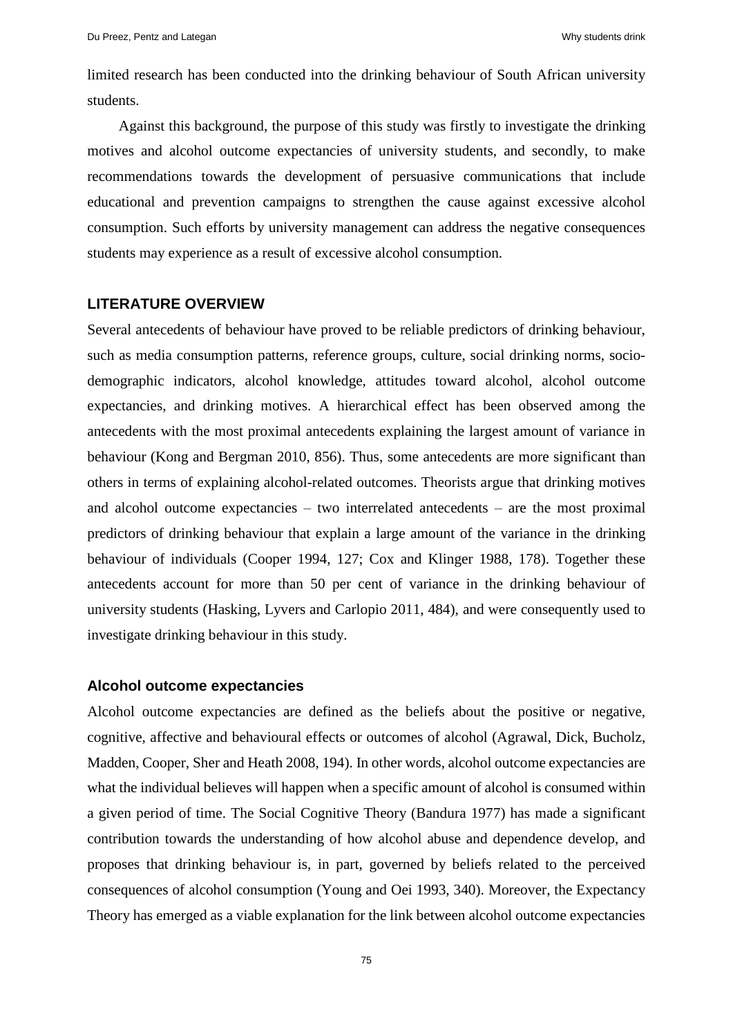limited research has been conducted into the drinking behaviour of South African university students.

Against this background, the purpose of this study was firstly to investigate the drinking motives and alcohol outcome expectancies of university students, and secondly, to make recommendations towards the development of persuasive communications that include educational and prevention campaigns to strengthen the cause against excessive alcohol consumption. Such efforts by university management can address the negative consequences students may experience as a result of excessive alcohol consumption.

# **LITERATURE OVERVIEW**

Several antecedents of behaviour have proved to be reliable predictors of drinking behaviour, such as media consumption patterns, reference groups, culture, social drinking norms, sociodemographic indicators, alcohol knowledge, attitudes toward alcohol, alcohol outcome expectancies, and drinking motives. A hierarchical effect has been observed among the antecedents with the most proximal antecedents explaining the largest amount of variance in behaviour (Kong and Bergman 2010, 856). Thus, some antecedents are more significant than others in terms of explaining alcohol-related outcomes. Theorists argue that drinking motives and alcohol outcome expectancies  $-$  two interrelated antecedents  $-$  are the most proximal predictors of drinking behaviour that explain a large amount of the variance in the drinking behaviour of individuals (Cooper 1994, 127; Cox and Klinger 1988, 178). Together these antecedents account for more than 50 per cent of variance in the drinking behaviour of university students (Hasking, Lyvers and Carlopio 2011, 484), and were consequently used to investigate drinking behaviour in this study.

#### **Alcohol outcome expectancies**

Alcohol outcome expectancies are defined as the beliefs about the positive or negative, cognitive, affective and behavioural effects or outcomes of alcohol (Agrawal, Dick, Bucholz, Madden, Cooper, Sher and Heath 2008, 194). In other words, alcohol outcome expectancies are what the individual believes will happen when a specific amount of alcohol is consumed within a given period of time. The Social Cognitive Theory (Bandura 1977) has made a significant contribution towards the understanding of how alcohol abuse and dependence develop, and proposes that drinking behaviour is, in part, governed by beliefs related to the perceived consequences of alcohol consumption (Young and Oei 1993, 340). Moreover, the Expectancy Theory has emerged as a viable explanation for the link between alcohol outcome expectancies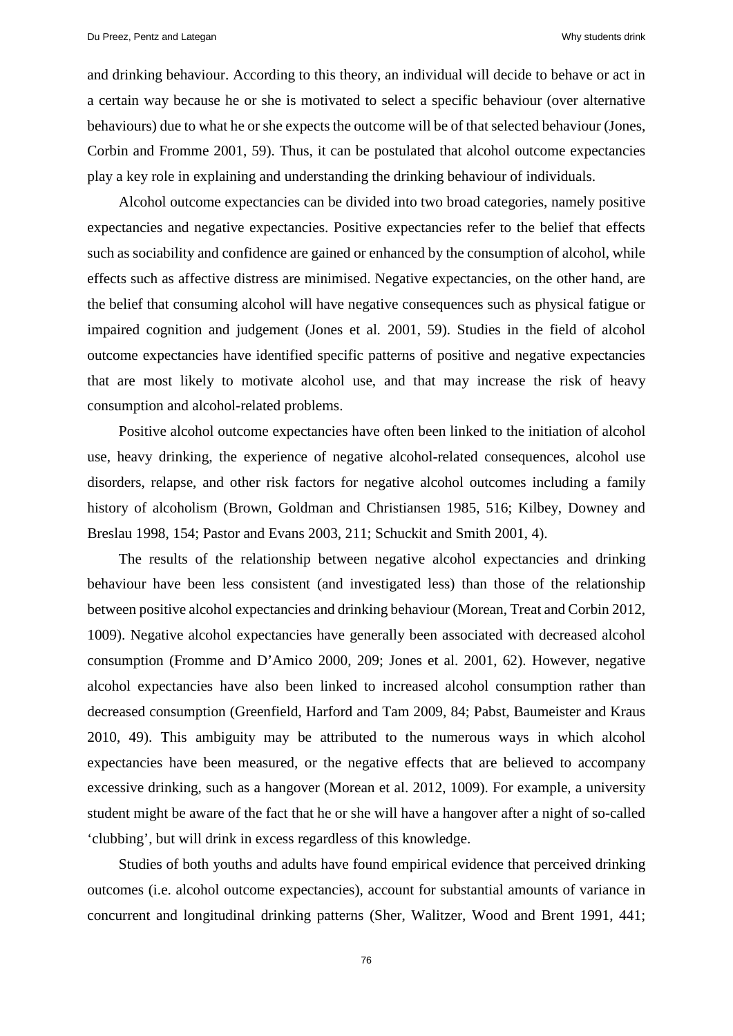and drinking behaviour. According to this theory, an individual will decide to behave or act in a certain way because he or she is motivated to select a specific behaviour (over alternative behaviours) due to what he or she expects the outcome will be of that selected behaviour (Jones, Corbin and Fromme 2001, 59). Thus, it can be postulated that alcohol outcome expectancies play a key role in explaining and understanding the drinking behaviour of individuals.

Alcohol outcome expectancies can be divided into two broad categories, namely positive expectancies and negative expectancies. Positive expectancies refer to the belief that effects such as sociability and confidence are gained or enhanced by the consumption of alcohol, while effects such as affective distress are minimised. Negative expectancies, on the other hand, are the belief that consuming alcohol will have negative consequences such as physical fatigue or impaired cognition and judgement (Jones et al*.* 2001, 59). Studies in the field of alcohol outcome expectancies have identified specific patterns of positive and negative expectancies that are most likely to motivate alcohol use, and that may increase the risk of heavy consumption and alcohol-related problems.

Positive alcohol outcome expectancies have often been linked to the initiation of alcohol use, heavy drinking, the experience of negative alcohol-related consequences, alcohol use disorders, relapse, and other risk factors for negative alcohol outcomes including a family history of alcoholism (Brown, Goldman and Christiansen 1985, 516; Kilbey, Downey and Breslau 1998, 154; Pastor and Evans 2003, 211; Schuckit and Smith 2001, 4).

The results of the relationship between negative alcohol expectancies and drinking behaviour have been less consistent (and investigated less) than those of the relationship between positive alcohol expectancies and drinking behaviour (Morean, Treat and Corbin 2012, 1009). Negative alcohol expectancies have generally been associated with decreased alcohol consumption (Fromme and D'Amico 2000, 209; Jones et al. 2001, 62). However, negative alcohol expectancies have also been linked to increased alcohol consumption rather than decreased consumption (Greenfield*,* Harford and Tam 2009, 84; Pabst, Baumeister and Kraus 2010, 49). This ambiguity may be attributed to the numerous ways in which alcohol expectancies have been measured, or the negative effects that are believed to accompany excessive drinking, such as a hangover (Morean et al. 2012, 1009). For example, a university student might be aware of the fact that he or she will have a hangover after a night of so-called 'clubbing', but will drink in excess regardless of this knowledge.

Studies of both youths and adults have found empirical evidence that perceived drinking outcomes (i.e. alcohol outcome expectancies), account for substantial amounts of variance in concurrent and longitudinal drinking patterns (Sher, Walitzer, Wood and Brent 1991, 441;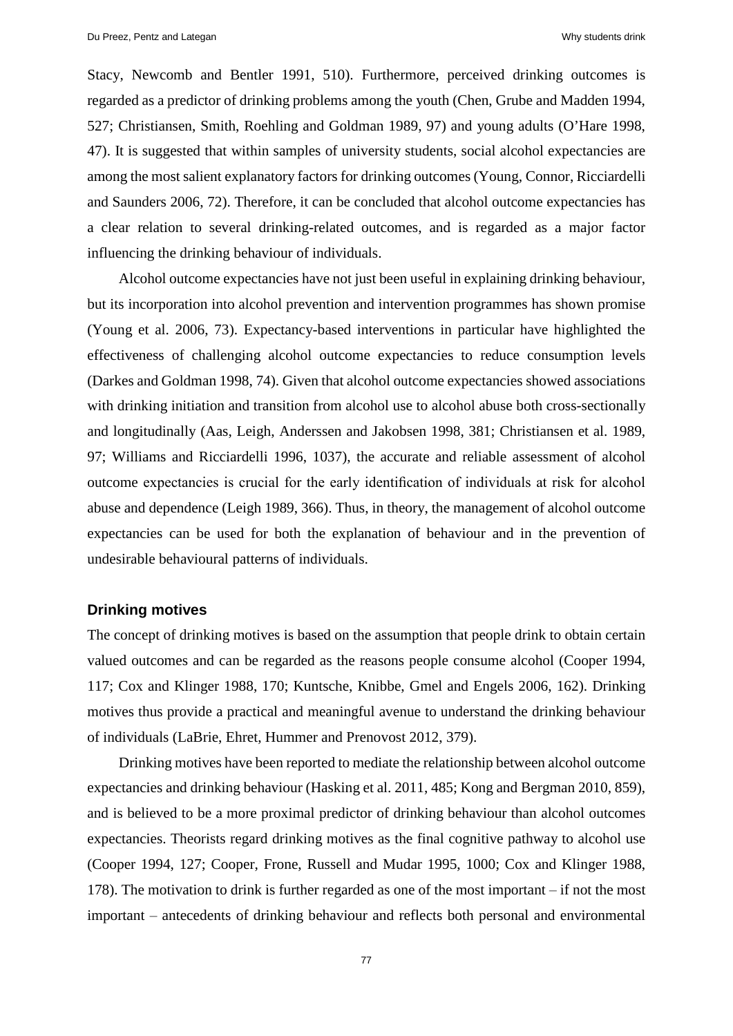Stacy, Newcomb and Bentler 1991, 510). Furthermore, perceived drinking outcomes is regarded as a predictor of drinking problems among the youth (Chen, Grube and Madden 1994, 527; Christiansen, Smith, Roehling and Goldman 1989, 97) and young adults (O'Hare 1998, 47). It is suggested that within samples of university students, social alcohol expectancies are among the most salient explanatory factors for drinking outcomes (Young, Connor, Ricciardelli and Saunders 2006, 72). Therefore, it can be concluded that alcohol outcome expectancies has a clear relation to several drinking-related outcomes, and is regarded as a major factor influencing the drinking behaviour of individuals.

Alcohol outcome expectancies have not just been useful in explaining drinking behaviour, but its incorporation into alcohol prevention and intervention programmes has shown promise (Young et al. 2006, 73). Expectancy-based interventions in particular have highlighted the effectiveness of challenging alcohol outcome expectancies to reduce consumption levels (Darkes and Goldman 1998, 74). Given that alcohol outcome expectancies showed associations with drinking initiation and transition from alcohol use to alcohol abuse both cross-sectionally and longitudinally (Aas, Leigh, Anderssen and Jakobsen 1998, 381; Christiansen et al. 1989, 97; Williams and Ricciardelli 1996, 1037), the accurate and reliable assessment of alcohol outcome expectancies is crucial for the early identification of individuals at risk for alcohol abuse and dependence (Leigh 1989, 366). Thus, in theory, the management of alcohol outcome expectancies can be used for both the explanation of behaviour and in the prevention of undesirable behavioural patterns of individuals.

## **Drinking motives**

The concept of drinking motives is based on the assumption that people drink to obtain certain valued outcomes and can be regarded as the reasons people consume alcohol (Cooper 1994, 117; Cox and Klinger 1988, 170; Kuntsche, Knibbe, Gmel and Engels 2006, 162). Drinking motives thus provide a practical and meaningful avenue to understand the drinking behaviour of individuals (LaBrie, Ehret, Hummer and Prenovost 2012, 379).

Drinking motives have been reported to mediate the relationship between alcohol outcome expectancies and drinking behaviour (Hasking et al. 2011, 485; Kong and Bergman 2010, 859), and is believed to be a more proximal predictor of drinking behaviour than alcohol outcomes expectancies. Theorists regard drinking motives as the final cognitive pathway to alcohol use (Cooper 1994, 127; Cooper, Frone, Russell and Mudar 1995, 1000; Cox and Klinger 1988, 178). The motivation to drink is further regarded as one of the most important  $-$  if not the most important ‒ antecedents of drinking behaviour and reflects both personal and environmental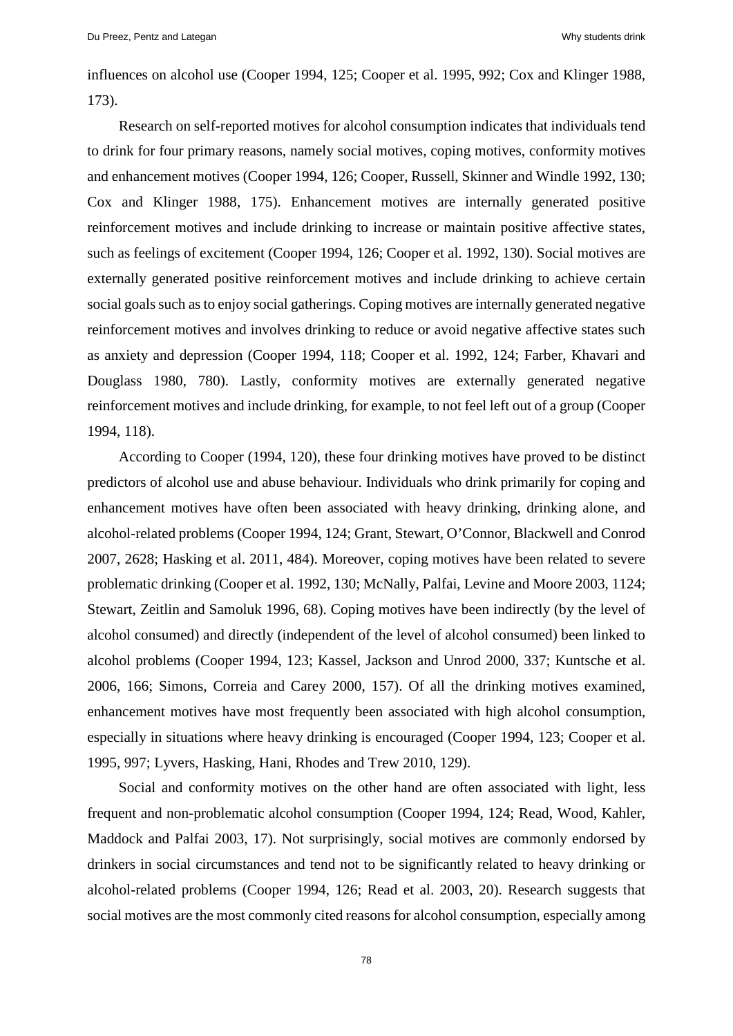influences on alcohol use (Cooper 1994, 125; Cooper et al. 1995, 992; Cox and Klinger 1988, 173).

Research on self-reported motives for alcohol consumption indicates that individuals tend to drink for four primary reasons, namely social motives, coping motives, conformity motives and enhancement motives (Cooper 1994, 126; Cooper, Russell, Skinner and Windle 1992, 130; Cox and Klinger 1988, 175). Enhancement motives are internally generated positive reinforcement motives and include drinking to increase or maintain positive affective states, such as feelings of excitement (Cooper 1994, 126; Cooper et al. 1992, 130). Social motives are externally generated positive reinforcement motives and include drinking to achieve certain social goals such as to enjoy social gatherings. Coping motives are internally generated negative reinforcement motives and involves drinking to reduce or avoid negative affective states such as anxiety and depression (Cooper 1994, 118; Cooper et al. 1992, 124; Farber, Khavari and Douglass 1980, 780). Lastly, conformity motives are externally generated negative reinforcement motives and include drinking, for example, to not feel left out of a group (Cooper 1994, 118).

According to Cooper (1994, 120), these four drinking motives have proved to be distinct predictors of alcohol use and abuse behaviour. Individuals who drink primarily for coping and enhancement motives have often been associated with heavy drinking, drinking alone, and alcohol-related problems (Cooper 1994, 124; Grant, Stewart, O'Connor, Blackwell and Conrod 2007, 2628; Hasking et al. 2011, 484). Moreover, coping motives have been related to severe problematic drinking (Cooper et al. 1992, 130; McNally, Palfai, Levine and Moore 2003, 1124; Stewart, Zeitlin and Samoluk 1996, 68). Coping motives have been indirectly (by the level of alcohol consumed) and directly (independent of the level of alcohol consumed) been linked to alcohol problems (Cooper 1994, 123; Kassel, Jackson and Unrod 2000, 337; Kuntsche et al. 2006, 166; Simons, Correia and Carey 2000, 157). Of all the drinking motives examined, enhancement motives have most frequently been associated with high alcohol consumption, especially in situations where heavy drinking is encouraged (Cooper 1994, 123; Cooper et al. 1995, 997; Lyvers, Hasking, Hani, Rhodes and Trew 2010, 129).

Social and conformity motives on the other hand are often associated with light, less frequent and non-problematic alcohol consumption (Cooper 1994, 124; Read, Wood, Kahler, Maddock and Palfai 2003, 17). Not surprisingly, social motives are commonly endorsed by drinkers in social circumstances and tend not to be significantly related to heavy drinking or alcohol-related problems (Cooper 1994, 126; Read et al. 2003, 20). Research suggests that social motives are the most commonly cited reasons for alcohol consumption, especially among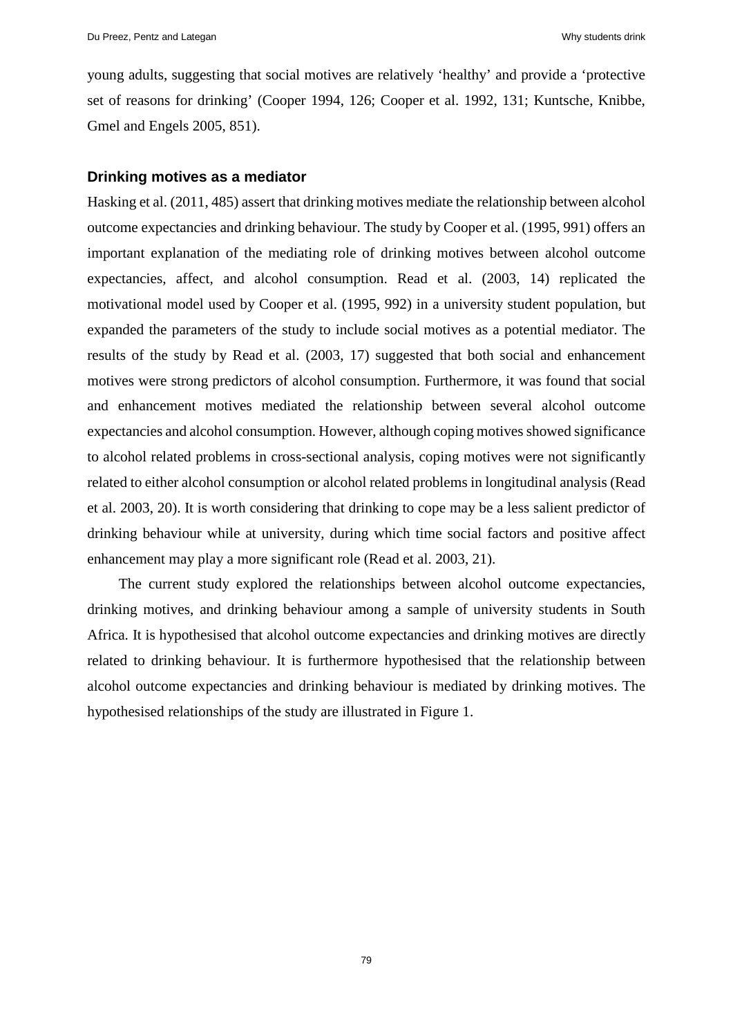young adults, suggesting that social motives are relatively 'healthy' and provide a 'protective set of reasons for drinking' (Cooper 1994, 126; Cooper et al. 1992, 131; Kuntsche, Knibbe, Gmel and Engels 2005, 851).

#### **Drinking motives as a mediator**

Hasking et al. (2011, 485) assert that drinking motives mediate the relationship between alcohol outcome expectancies and drinking behaviour. The study by Cooper et al. (1995, 991) offers an important explanation of the mediating role of drinking motives between alcohol outcome expectancies, affect, and alcohol consumption. Read et al. (2003, 14) replicated the motivational model used by Cooper et al. (1995, 992) in a university student population, but expanded the parameters of the study to include social motives as a potential mediator. The results of the study by Read et al. (2003, 17) suggested that both social and enhancement motives were strong predictors of alcohol consumption. Furthermore, it was found that social and enhancement motives mediated the relationship between several alcohol outcome expectancies and alcohol consumption. However, although coping motives showed significance to alcohol related problems in cross-sectional analysis, coping motives were not significantly related to either alcohol consumption or alcohol related problems in longitudinal analysis (Read et al. 2003, 20). It is worth considering that drinking to cope may be a less salient predictor of drinking behaviour while at university, during which time social factors and positive affect enhancement may play a more significant role (Read et al. 2003, 21).

The current study explored the relationships between alcohol outcome expectancies, drinking motives, and drinking behaviour among a sample of university students in South Africa. It is hypothesised that alcohol outcome expectancies and drinking motives are directly related to drinking behaviour. It is furthermore hypothesised that the relationship between alcohol outcome expectancies and drinking behaviour is mediated by drinking motives. The hypothesised relationships of the study are illustrated in Figure 1.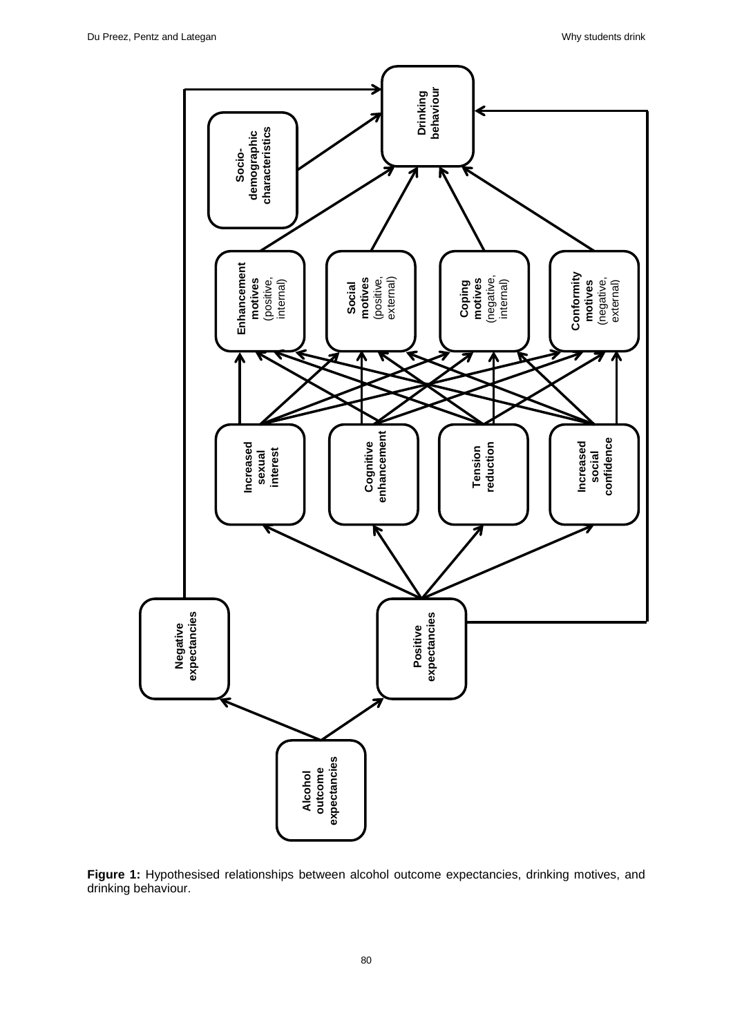

**Figure 1:** Hypothesised relationships between alcohol outcome expectancies, drinking motives, and drinking behaviour.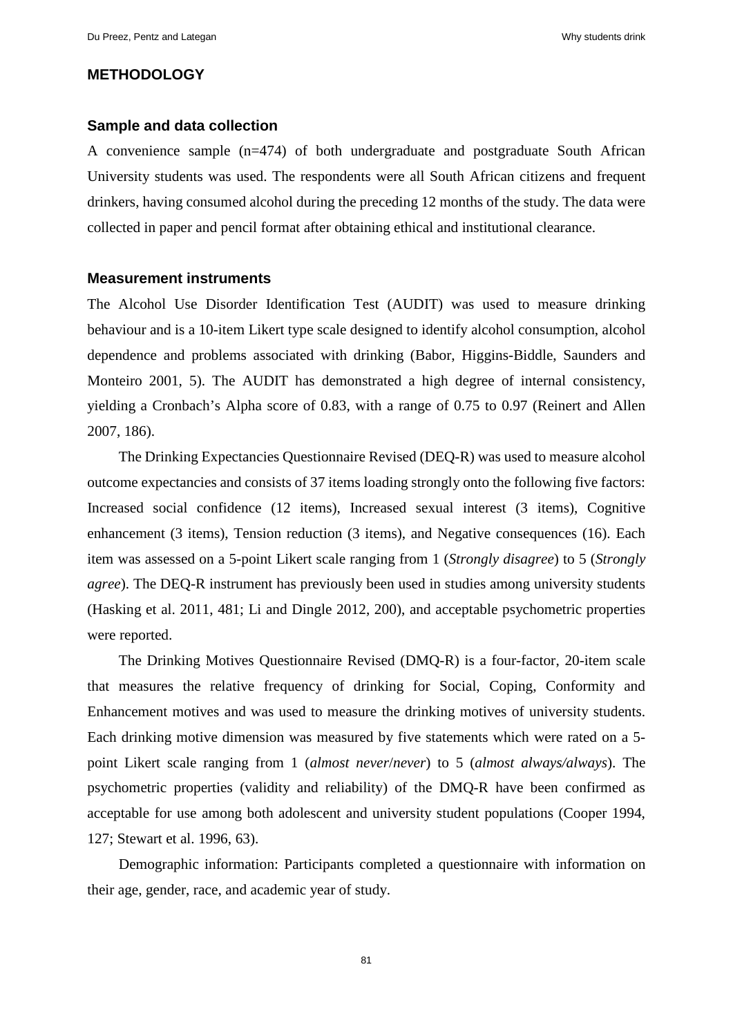# **METHODOLOGY**

#### **Sample and data collection**

A convenience sample (n=474) of both undergraduate and postgraduate South African University students was used. The respondents were all South African citizens and frequent drinkers, having consumed alcohol during the preceding 12 months of the study. The data were collected in paper and pencil format after obtaining ethical and institutional clearance.

#### **Measurement instruments**

The Alcohol Use Disorder Identification Test (AUDIT) was used to measure drinking behaviour and is a 10-item Likert type scale designed to identify alcohol consumption, alcohol dependence and problems associated with drinking (Babor, Higgins-Biddle, Saunders and Monteiro 2001, 5). The AUDIT has demonstrated a high degree of internal consistency, yielding a Cronbach's Alpha score of 0.83, with a range of 0.75 to 0.97 (Reinert and Allen 2007, 186).

The Drinking Expectancies Questionnaire Revised (DEQ-R) was used to measure alcohol outcome expectancies and consists of 37 items loading strongly onto the following five factors: Increased social confidence (12 items), Increased sexual interest (3 items), Cognitive enhancement (3 items), Tension reduction (3 items), and Negative consequences (16). Each item was assessed on a 5-point Likert scale ranging from 1 (*Strongly disagree*) to 5 (*Strongly agree*). The DEQ-R instrument has previously been used in studies among university students (Hasking et al. 2011, 481; Li and Dingle 2012, 200), and acceptable psychometric properties were reported.

The Drinking Motives Questionnaire Revised (DMQ-R) is a four-factor, 20-item scale that measures the relative frequency of drinking for Social, Coping, Conformity and Enhancement motives and was used to measure the drinking motives of university students. Each drinking motive dimension was measured by five statements which were rated on a 5 point Likert scale ranging from 1 (*almost never*/*never*) to 5 (*almost always/always*). The psychometric properties (validity and reliability) of the DMQ-R have been confirmed as acceptable for use among both adolescent and university student populations (Cooper 1994, 127; Stewart et al. 1996, 63).

Demographic information: Participants completed a questionnaire with information on their age, gender, race, and academic year of study.

81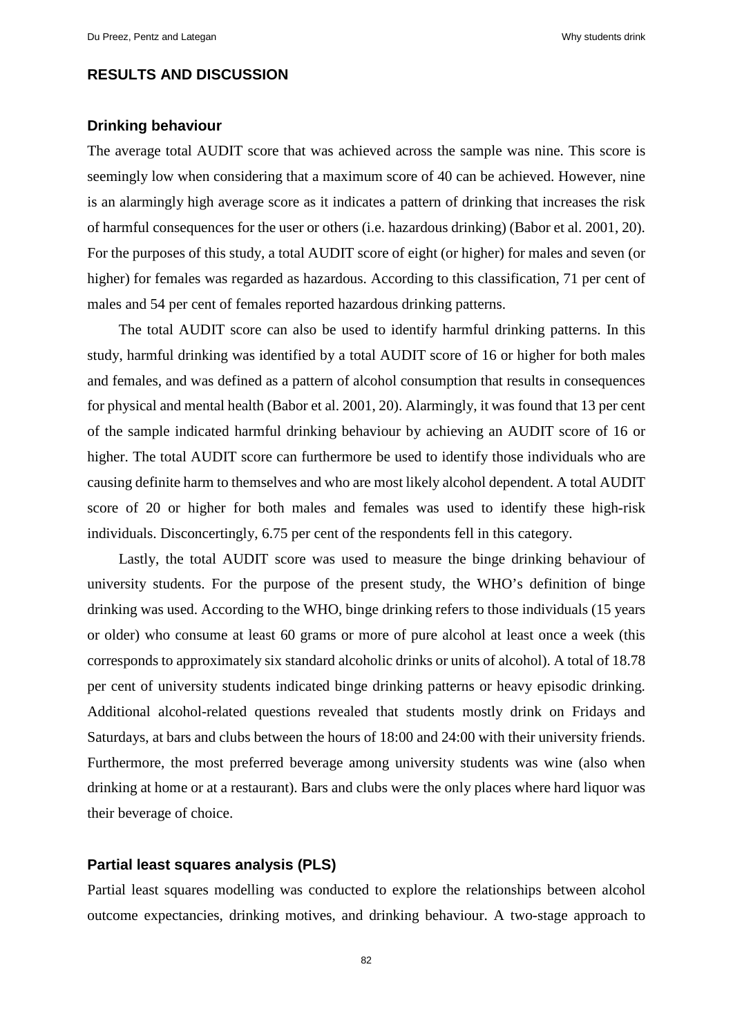# **RESULTS AND DISCUSSION**

# **Drinking behaviour**

The average total AUDIT score that was achieved across the sample was nine. This score is seemingly low when considering that a maximum score of 40 can be achieved. However, nine is an alarmingly high average score as it indicates a pattern of drinking that increases the risk of harmful consequences for the user or others (i.e. hazardous drinking) (Babor et al. 2001, 20). For the purposes of this study, a total AUDIT score of eight (or higher) for males and seven (or higher) for females was regarded as hazardous. According to this classification, 71 per cent of males and 54 per cent of females reported hazardous drinking patterns.

The total AUDIT score can also be used to identify harmful drinking patterns. In this study, harmful drinking was identified by a total AUDIT score of 16 or higher for both males and females, and was defined as a pattern of alcohol consumption that results in consequences for physical and mental health (Babor et al. 2001, 20). Alarmingly, it was found that 13 per cent of the sample indicated harmful drinking behaviour by achieving an AUDIT score of 16 or higher. The total AUDIT score can furthermore be used to identify those individuals who are causing definite harm to themselves and who are most likely alcohol dependent. A total AUDIT score of 20 or higher for both males and females was used to identify these high-risk individuals. Disconcertingly, 6.75 per cent of the respondents fell in this category.

Lastly, the total AUDIT score was used to measure the binge drinking behaviour of university students. For the purpose of the present study, the WHO's definition of binge drinking was used. According to the WHO, binge drinking refers to those individuals (15 years or older) who consume at least 60 grams or more of pure alcohol at least once a week (this corresponds to approximately six standard alcoholic drinks or units of alcohol). A total of 18.78 per cent of university students indicated binge drinking patterns or heavy episodic drinking. Additional alcohol-related questions revealed that students mostly drink on Fridays and Saturdays, at bars and clubs between the hours of 18:00 and 24:00 with their university friends. Furthermore, the most preferred beverage among university students was wine (also when drinking at home or at a restaurant). Bars and clubs were the only places where hard liquor was their beverage of choice.

## **Partial least squares analysis (PLS)**

Partial least squares modelling was conducted to explore the relationships between alcohol outcome expectancies, drinking motives, and drinking behaviour. A two-stage approach to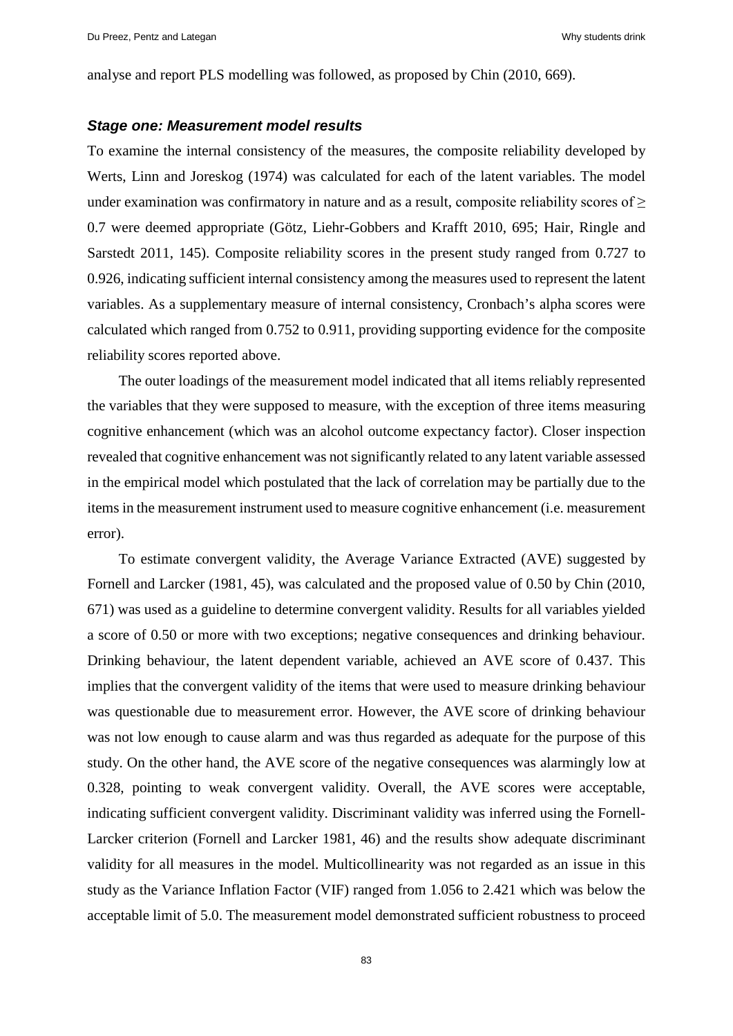analyse and report PLS modelling was followed, as proposed by Chin (2010, 669).

#### *Stage one: Measurement model results*

To examine the internal consistency of the measures, the composite reliability developed by Werts, Linn and Joreskog (1974) was calculated for each of the latent variables. The model under examination was confirmatory in nature and as a result, composite reliability scores of  $\geq$ 0.7 were deemed appropriate (Götz, Liehr-Gobbers and Krafft 2010, 695; Hair, Ringle and Sarstedt 2011, 145). Composite reliability scores in the present study ranged from 0.727 to 0.926, indicating sufficient internal consistency among the measures used to represent the latent variables. As a supplementary measure of internal consistency, Cronbach's alpha scores were calculated which ranged from 0.752 to 0.911, providing supporting evidence for the composite reliability scores reported above.

The outer loadings of the measurement model indicated that all items reliably represented the variables that they were supposed to measure, with the exception of three items measuring cognitive enhancement (which was an alcohol outcome expectancy factor). Closer inspection revealed that cognitive enhancement was not significantly related to any latent variable assessed in the empirical model which postulated that the lack of correlation may be partially due to the items in the measurement instrument used to measure cognitive enhancement (i.e. measurement error).

To estimate convergent validity, the Average Variance Extracted (AVE) suggested by Fornell and Larcker (1981, 45), was calculated and the proposed value of 0.50 by Chin (2010, 671) was used as a guideline to determine convergent validity. Results for all variables yielded a score of 0.50 or more with two exceptions; negative consequences and drinking behaviour. Drinking behaviour, the latent dependent variable, achieved an AVE score of 0.437. This implies that the convergent validity of the items that were used to measure drinking behaviour was questionable due to measurement error. However, the AVE score of drinking behaviour was not low enough to cause alarm and was thus regarded as adequate for the purpose of this study. On the other hand, the AVE score of the negative consequences was alarmingly low at 0.328, pointing to weak convergent validity. Overall, the AVE scores were acceptable, indicating sufficient convergent validity. Discriminant validity was inferred using the Fornell-Larcker criterion (Fornell and Larcker 1981, 46) and the results show adequate discriminant validity for all measures in the model. Multicollinearity was not regarded as an issue in this study as the Variance Inflation Factor (VIF) ranged from 1.056 to 2.421 which was below the acceptable limit of 5.0. The measurement model demonstrated sufficient robustness to proceed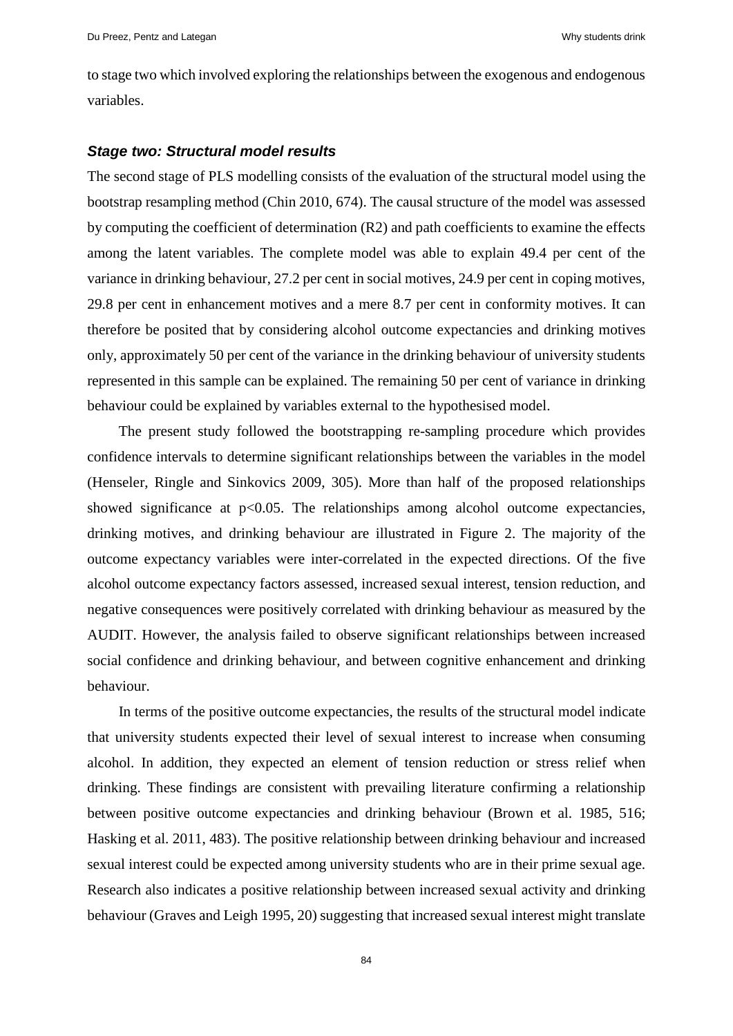to stage two which involved exploring the relationships between the exogenous and endogenous variables.

#### *Stage two: Structural model results*

The second stage of PLS modelling consists of the evaluation of the structural model using the bootstrap resampling method (Chin 2010, 674). The causal structure of the model was assessed by computing the coefficient of determination (R2) and path coefficients to examine the effects among the latent variables. The complete model was able to explain 49.4 per cent of the variance in drinking behaviour, 27.2 per cent in social motives, 24.9 per cent in coping motives, 29.8 per cent in enhancement motives and a mere 8.7 per cent in conformity motives. It can therefore be posited that by considering alcohol outcome expectancies and drinking motives only, approximately 50 per cent of the variance in the drinking behaviour of university students represented in this sample can be explained. The remaining 50 per cent of variance in drinking behaviour could be explained by variables external to the hypothesised model.

The present study followed the bootstrapping re-sampling procedure which provides confidence intervals to determine significant relationships between the variables in the model (Henseler, Ringle and Sinkovics 2009, 305). More than half of the proposed relationships showed significance at  $p<0.05$ . The relationships among alcohol outcome expectancies, drinking motives, and drinking behaviour are illustrated in Figure 2. The majority of the outcome expectancy variables were inter-correlated in the expected directions. Of the five alcohol outcome expectancy factors assessed, increased sexual interest, tension reduction, and negative consequences were positively correlated with drinking behaviour as measured by the AUDIT. However, the analysis failed to observe significant relationships between increased social confidence and drinking behaviour, and between cognitive enhancement and drinking behaviour.

In terms of the positive outcome expectancies, the results of the structural model indicate that university students expected their level of sexual interest to increase when consuming alcohol. In addition, they expected an element of tension reduction or stress relief when drinking. These findings are consistent with prevailing literature confirming a relationship between positive outcome expectancies and drinking behaviour (Brown et al. 1985, 516; Hasking et al. 2011, 483). The positive relationship between drinking behaviour and increased sexual interest could be expected among university students who are in their prime sexual age. Research also indicates a positive relationship between increased sexual activity and drinking behaviour (Graves and Leigh 1995, 20) suggesting that increased sexual interest might translate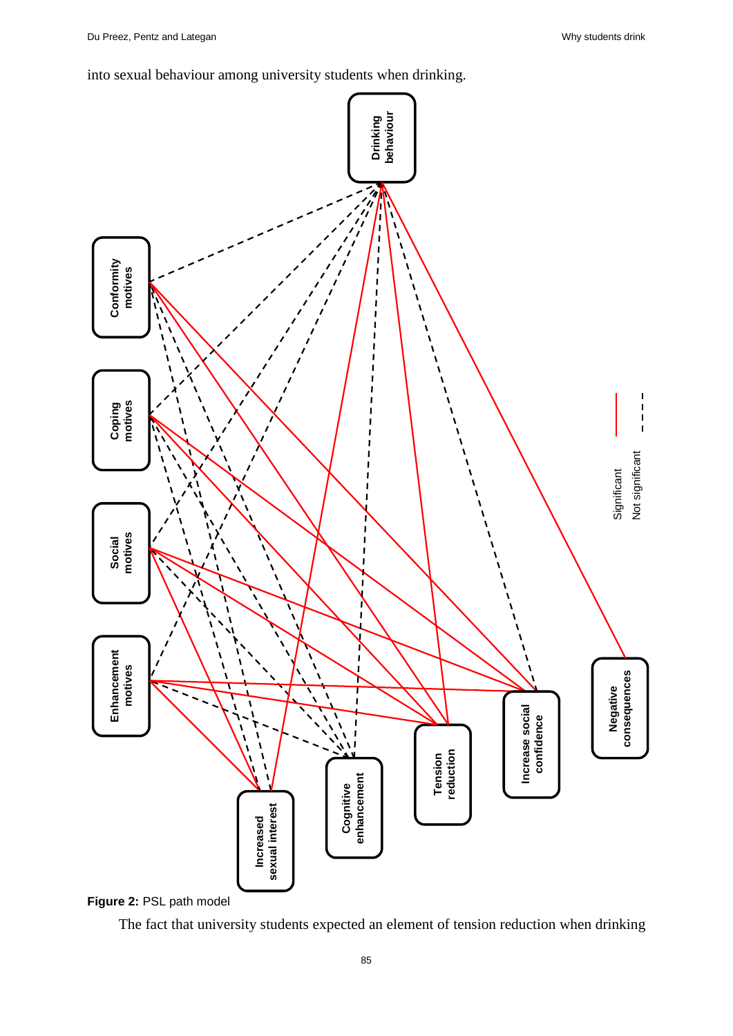into sexual behaviour among university students when drinking.



**Figure 2:** PSL path model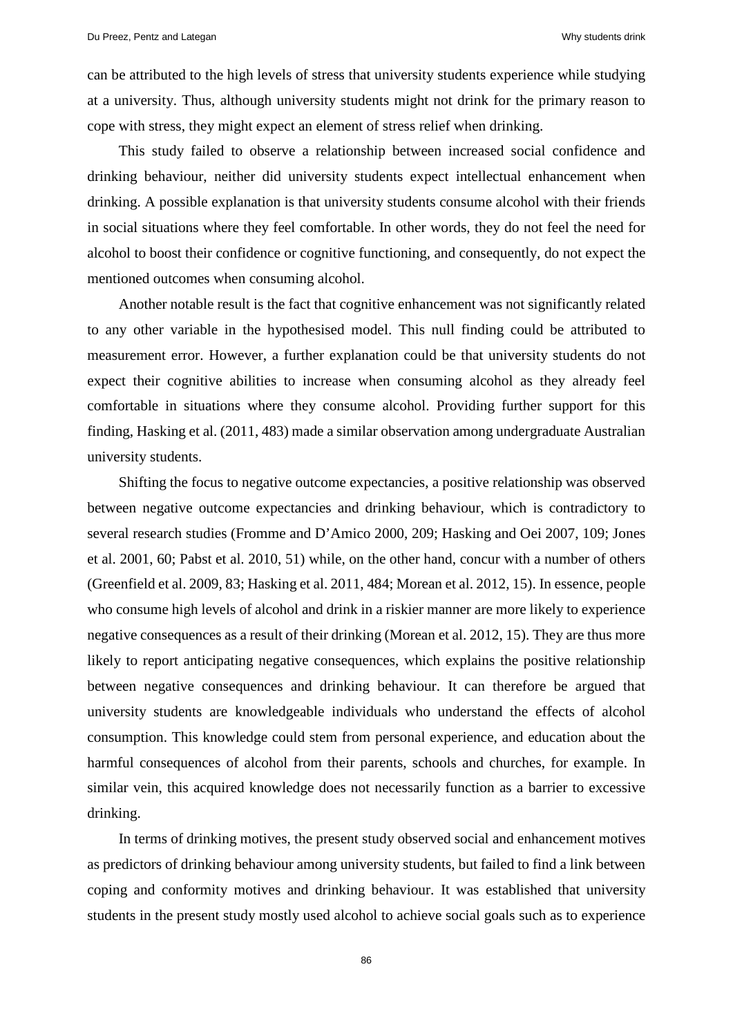can be attributed to the high levels of stress that university students experience while studying at a university. Thus, although university students might not drink for the primary reason to cope with stress, they might expect an element of stress relief when drinking.

This study failed to observe a relationship between increased social confidence and drinking behaviour, neither did university students expect intellectual enhancement when drinking. A possible explanation is that university students consume alcohol with their friends in social situations where they feel comfortable. In other words, they do not feel the need for alcohol to boost their confidence or cognitive functioning, and consequently, do not expect the mentioned outcomes when consuming alcohol.

Another notable result is the fact that cognitive enhancement was not significantly related to any other variable in the hypothesised model. This null finding could be attributed to measurement error. However, a further explanation could be that university students do not expect their cognitive abilities to increase when consuming alcohol as they already feel comfortable in situations where they consume alcohol. Providing further support for this finding, Hasking et al. (2011, 483) made a similar observation among undergraduate Australian university students.

Shifting the focus to negative outcome expectancies, a positive relationship was observed between negative outcome expectancies and drinking behaviour, which is contradictory to several research studies (Fromme and D'Amico 2000, 209; Hasking and Oei 2007, 109; Jones et al. 2001, 60; Pabst et al. 2010, 51) while, on the other hand, concur with a number of others (Greenfield et al. 2009, 83; Hasking et al. 2011, 484; Morean et al. 2012, 15). In essence, people who consume high levels of alcohol and drink in a riskier manner are more likely to experience negative consequences as a result of their drinking (Morean et al. 2012, 15). They are thus more likely to report anticipating negative consequences, which explains the positive relationship between negative consequences and drinking behaviour. It can therefore be argued that university students are knowledgeable individuals who understand the effects of alcohol consumption. This knowledge could stem from personal experience, and education about the harmful consequences of alcohol from their parents, schools and churches, for example. In similar vein, this acquired knowledge does not necessarily function as a barrier to excessive drinking.

In terms of drinking motives, the present study observed social and enhancement motives as predictors of drinking behaviour among university students, but failed to find a link between coping and conformity motives and drinking behaviour. It was established that university students in the present study mostly used alcohol to achieve social goals such as to experience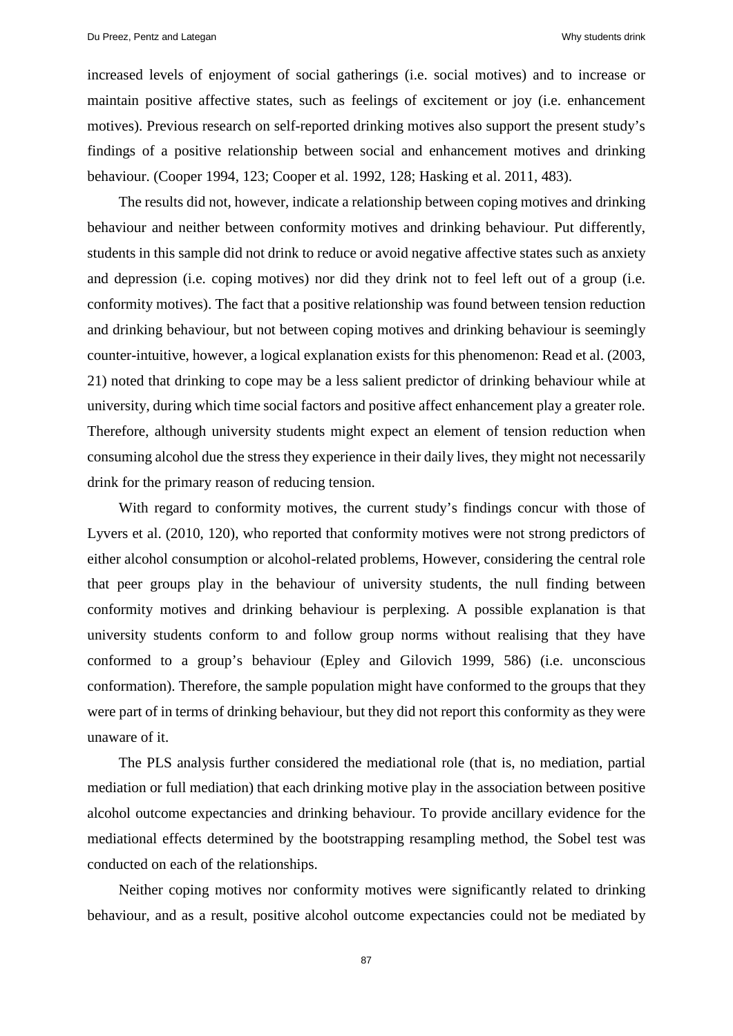increased levels of enjoyment of social gatherings (i.e. social motives) and to increase or maintain positive affective states, such as feelings of excitement or joy (i.e. enhancement motives). Previous research on self-reported drinking motives also support the present study's findings of a positive relationship between social and enhancement motives and drinking behaviour. (Cooper 1994, 123; Cooper et al. 1992, 128; Hasking et al. 2011, 483).

The results did not, however, indicate a relationship between coping motives and drinking behaviour and neither between conformity motives and drinking behaviour. Put differently, students in this sample did not drink to reduce or avoid negative affective states such as anxiety and depression (i.e. coping motives) nor did they drink not to feel left out of a group (i.e. conformity motives). The fact that a positive relationship was found between tension reduction and drinking behaviour, but not between coping motives and drinking behaviour is seemingly counter-intuitive, however, a logical explanation exists for this phenomenon: Read et al. (2003, 21) noted that drinking to cope may be a less salient predictor of drinking behaviour while at university, during which time social factors and positive affect enhancement play a greater role. Therefore, although university students might expect an element of tension reduction when consuming alcohol due the stress they experience in their daily lives, they might not necessarily drink for the primary reason of reducing tension.

With regard to conformity motives, the current study's findings concur with those of Lyvers et al. (2010, 120), who reported that conformity motives were not strong predictors of either alcohol consumption or alcohol-related problems, However, considering the central role that peer groups play in the behaviour of university students, the null finding between conformity motives and drinking behaviour is perplexing. A possible explanation is that university students conform to and follow group norms without realising that they have conformed to a group's behaviour (Epley and Gilovich 1999, 586) (i.e. unconscious conformation). Therefore, the sample population might have conformed to the groups that they were part of in terms of drinking behaviour, but they did not report this conformity as they were unaware of it.

The PLS analysis further considered the mediational role (that is, no mediation, partial mediation or full mediation) that each drinking motive play in the association between positive alcohol outcome expectancies and drinking behaviour. To provide ancillary evidence for the mediational effects determined by the bootstrapping resampling method, the Sobel test was conducted on each of the relationships.

Neither coping motives nor conformity motives were significantly related to drinking behaviour, and as a result, positive alcohol outcome expectancies could not be mediated by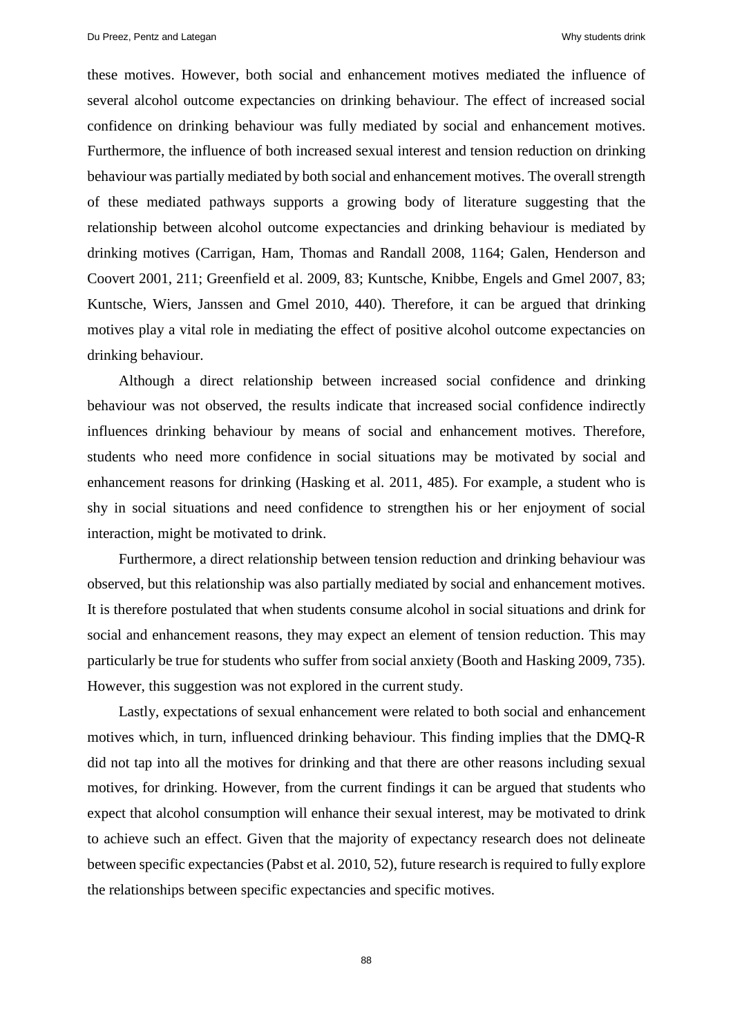these motives. However, both social and enhancement motives mediated the influence of several alcohol outcome expectancies on drinking behaviour. The effect of increased social confidence on drinking behaviour was fully mediated by social and enhancement motives. Furthermore, the influence of both increased sexual interest and tension reduction on drinking behaviour was partially mediated by both social and enhancement motives. The overall strength of these mediated pathways supports a growing body of literature suggesting that the relationship between alcohol outcome expectancies and drinking behaviour is mediated by drinking motives (Carrigan, Ham, Thomas and Randall 2008, 1164; Galen, Henderson and Coovert 2001, 211; Greenfield et al. 2009, 83; Kuntsche, Knibbe, Engels and Gmel 2007, 83; Kuntsche, Wiers, Janssen and Gmel 2010, 440). Therefore, it can be argued that drinking motives play a vital role in mediating the effect of positive alcohol outcome expectancies on drinking behaviour.

Although a direct relationship between increased social confidence and drinking behaviour was not observed, the results indicate that increased social confidence indirectly influences drinking behaviour by means of social and enhancement motives. Therefore, students who need more confidence in social situations may be motivated by social and enhancement reasons for drinking (Hasking et al. 2011, 485). For example, a student who is shy in social situations and need confidence to strengthen his or her enjoyment of social interaction, might be motivated to drink.

Furthermore, a direct relationship between tension reduction and drinking behaviour was observed, but this relationship was also partially mediated by social and enhancement motives. It is therefore postulated that when students consume alcohol in social situations and drink for social and enhancement reasons, they may expect an element of tension reduction. This may particularly be true for students who suffer from social anxiety (Booth and Hasking 2009, 735). However, this suggestion was not explored in the current study.

Lastly, expectations of sexual enhancement were related to both social and enhancement motives which, in turn, influenced drinking behaviour. This finding implies that the DMQ-R did not tap into all the motives for drinking and that there are other reasons including sexual motives, for drinking. However, from the current findings it can be argued that students who expect that alcohol consumption will enhance their sexual interest, may be motivated to drink to achieve such an effect. Given that the majority of expectancy research does not delineate between specific expectancies (Pabst et al. 2010, 52), future research is required to fully explore the relationships between specific expectancies and specific motives.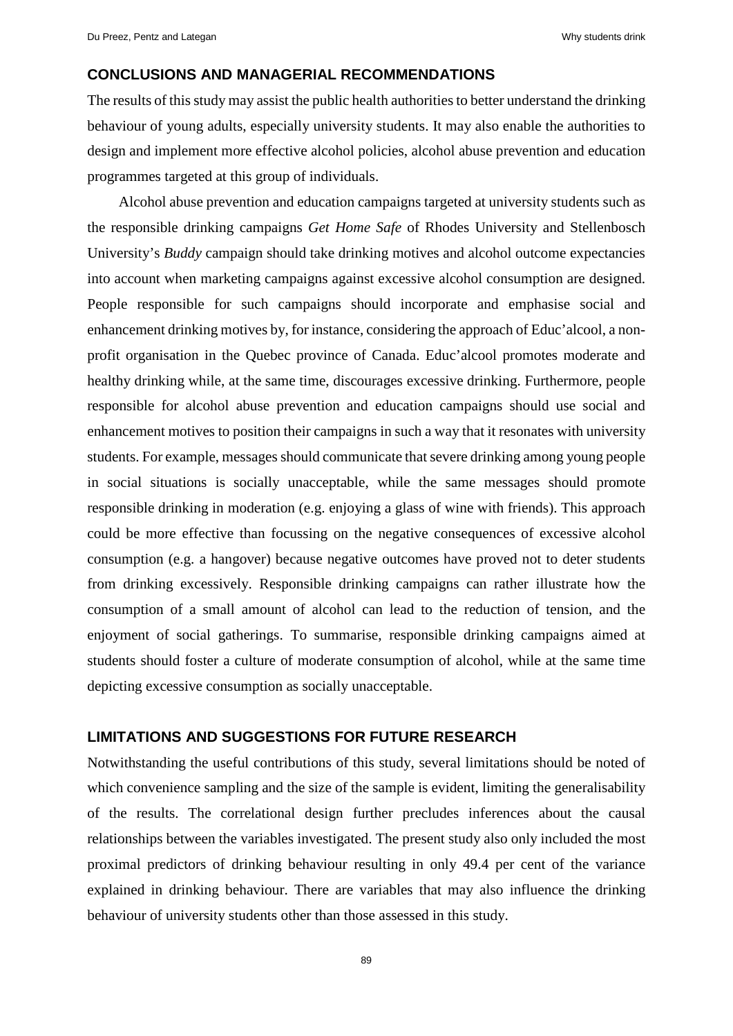## **CONCLUSIONS AND MANAGERIAL RECOMMENDATIONS**

The results of this study may assist the public health authorities to better understand the drinking behaviour of young adults, especially university students. It may also enable the authorities to design and implement more effective alcohol policies, alcohol abuse prevention and education programmes targeted at this group of individuals.

Alcohol abuse prevention and education campaigns targeted at university students such as the responsible drinking campaigns *Get Home Safe* of Rhodes University and Stellenbosch University's *Buddy* campaign should take drinking motives and alcohol outcome expectancies into account when marketing campaigns against excessive alcohol consumption are designed. People responsible for such campaigns should incorporate and emphasise social and enhancement drinking motives by, for instance, considering the approach of Educ'alcool, a nonprofit organisation in the Quebec province of Canada. Educ'alcool promotes moderate and healthy drinking while, at the same time, discourages excessive drinking. Furthermore, people responsible for alcohol abuse prevention and education campaigns should use social and enhancement motives to position their campaigns in such a way that it resonates with university students. For example, messages should communicate that severe drinking among young people in social situations is socially unacceptable, while the same messages should promote responsible drinking in moderation (e.g. enjoying a glass of wine with friends). This approach could be more effective than focussing on the negative consequences of excessive alcohol consumption (e.g. a hangover) because negative outcomes have proved not to deter students from drinking excessively. Responsible drinking campaigns can rather illustrate how the consumption of a small amount of alcohol can lead to the reduction of tension, and the enjoyment of social gatherings. To summarise, responsible drinking campaigns aimed at students should foster a culture of moderate consumption of alcohol, while at the same time depicting excessive consumption as socially unacceptable.

## **LIMITATIONS AND SUGGESTIONS FOR FUTURE RESEARCH**

Notwithstanding the useful contributions of this study, several limitations should be noted of which convenience sampling and the size of the sample is evident, limiting the generalisability of the results. The correlational design further precludes inferences about the causal relationships between the variables investigated. The present study also only included the most proximal predictors of drinking behaviour resulting in only 49.4 per cent of the variance explained in drinking behaviour. There are variables that may also influence the drinking behaviour of university students other than those assessed in this study.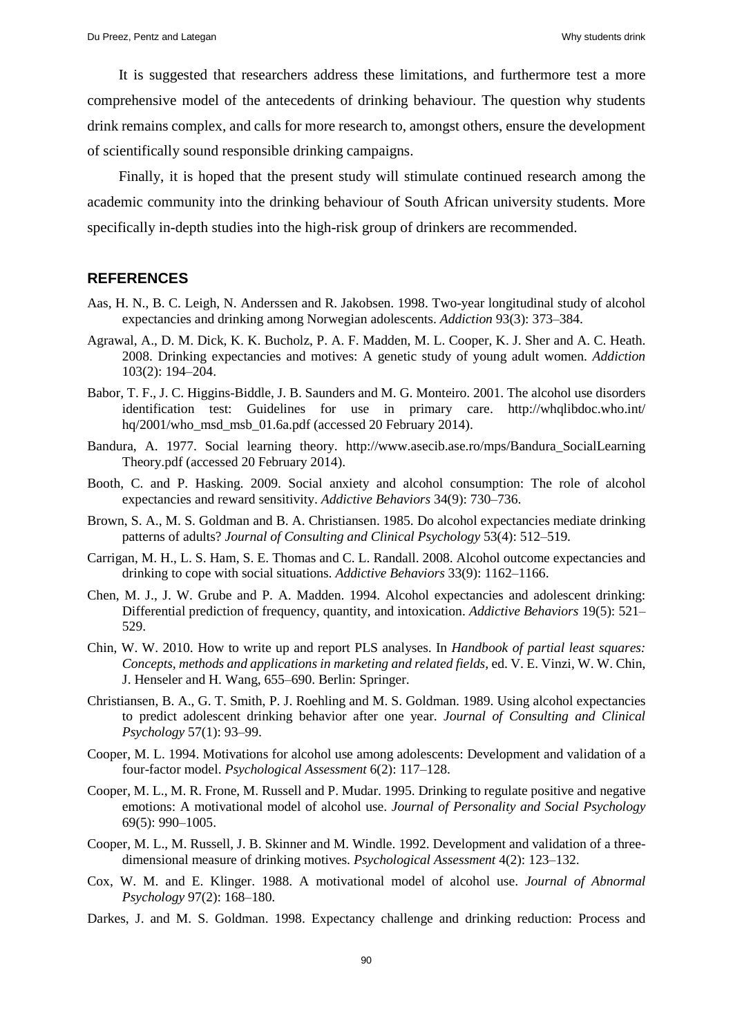It is suggested that researchers address these limitations, and furthermore test a more comprehensive model of the antecedents of drinking behaviour. The question why students drink remains complex, and calls for more research to, amongst others, ensure the development of scientifically sound responsible drinking campaigns.

Finally, it is hoped that the present study will stimulate continued research among the academic community into the drinking behaviour of South African university students. More specifically in-depth studies into the high-risk group of drinkers are recommended.

#### **REFERENCES**

- Aas, H. N., B. C. Leigh, N. Anderssen and R. Jakobsen. 1998. Two-year longitudinal study of alcohol expectancies and drinking among Norwegian adolescents. *Addiction* 93(3): 373‒384.
- Agrawal, A., D. M. Dick, K. K. Bucholz, P. A. F. Madden, M. L. Cooper, K. J. Sher and A. C. Heath. 2008. Drinking expectancies and motives: A genetic study of young adult women. *Addiction* 103(2): 194‒204.
- Babor, T. F., J. C. Higgins-Biddle, J. B. Saunders and M. G. Monteiro. 2001. The alcohol use disorders identification test: Guidelines for use in primary care. http://whqlibdoc.who.int/ hq/2001/who\_msd\_msb\_01.6a.pdf (accessed 20 February 2014).
- Bandura, A. 1977. Social learning theory. [http://www.asecib.ase.ro/mps/Bandura\\_SocialLearning](http://www.asecib.ase.ro/mps/Bandura_SocialLearning) Theory.pdf (accessed 20 February 2014).
- Booth, C. and P. Hasking. 2009. Social anxiety and alcohol consumption: The role of alcohol expectancies and reward sensitivity. *Addictive Behaviors* 34(9): 730‒736.
- Brown, S. A., M. S. Goldman and B. A. Christiansen. 1985. Do alcohol expectancies mediate drinking patterns of adults? *Journal of Consulting and Clinical Psychology* 53(4): 512–519.
- Carrigan, M. H., L. S. Ham, S. E. Thomas and C. L. Randall. 2008. Alcohol outcome expectancies and drinking to cope with social situations. *Addictive Behaviors* 33(9): 1162–1166.
- Chen, M. J., J. W. Grube and P. A. Madden. 1994. Alcohol expectancies and adolescent drinking: Differential prediction of frequency, quantity, and intoxication. *Addictive Behaviors* 19(5): 521– 529.
- Chin, W. W. 2010. How to write up and report PLS analyses. In *Handbook of partial least squares: Concepts, methods and applications in marketing and related fields*, ed. V. E. Vinzi, W. W. Chin, J. Henseler and H. Wang, 655–690. Berlin: Springer.
- Christiansen, B. A., G. T. Smith, P. J. Roehling and M. S. Goldman. 1989. Using alcohol expectancies to predict adolescent drinking behavior after one year. *Journal of Consulting and Clinical Psychology* 57(1): 93‒99.
- Cooper, M. L. 1994. Motivations for alcohol use among adolescents: Development and validation of a four-factor model. *Psychological Assessment* 6(2): 117-128.
- Cooper, M. L., M. R. Frone, M. Russell and P. Mudar. 1995. Drinking to regulate positive and negative emotions: A motivational model of alcohol use. *Journal of Personality and Social Psychology* 69(5): 990‒1005.
- Cooper, M. L., M. Russell, J. B. Skinner and M. Windle. 1992. Development and validation of a threedimensional measure of drinking motives. *Psychological Assessment* 4(2): 123–132.
- Cox, W. M. and E. Klinger. 1988. A motivational model of alcohol use. *Journal of Abnormal Psychology* 97(2): 168‒180.
- Darkes, J. and M. S. Goldman. 1998. Expectancy challenge and drinking reduction: Process and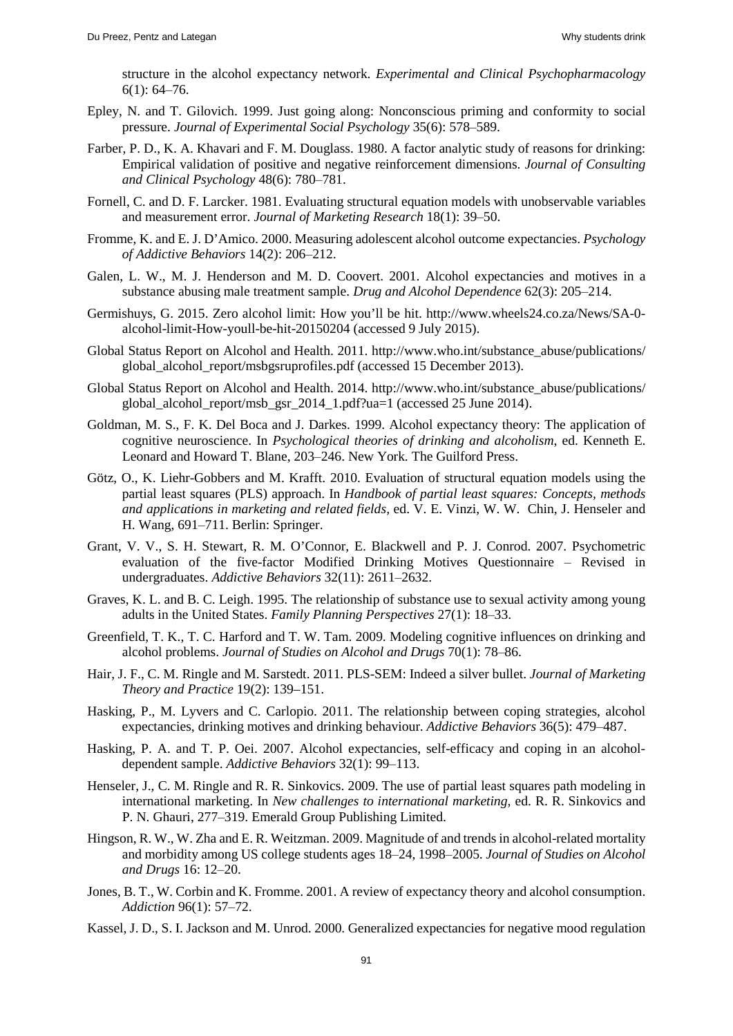structure in the alcohol expectancy network. *Experimental and Clinical Psychopharmacology*  $6(1): 64-76.$ 

- Epley, N. and T. Gilovich. 1999. Just going along: Nonconscious priming and conformity to social pressure. *Journal of Experimental Social Psychology* 35(6): 578–589.
- Farber, P. D., K. A. Khavari and F. M. Douglass. 1980. A factor analytic study of reasons for drinking: Empirical validation of positive and negative reinforcement dimensions. *Journal of Consulting and Clinical Psychology* 48(6): 780‒781.
- Fornell, C. and D. F. Larcker. 1981. Evaluating structural equation models with unobservable variables and measurement error. *Journal of Marketing Research* 18(1): 39–50.
- Fromme, K. and E. J. D'Amico. 2000. Measuring adolescent alcohol outcome expectancies. *Psychology of Addictive Behaviors* 14(2): 206‒212.
- Galen, L. W., M. J. Henderson and M. D. Coovert. 2001. Alcohol expectancies and motives in a substance abusing male treatment sample. *Drug and Alcohol Dependence* 62(3): 205–214.
- Germishuys, G. 2015. Zero alcohol limit: How you'll be hit. http://www.wheels24.co.za/News/SA-0 alcohol-limit-How-youll-be-hit-20150204 (accessed 9 July 2015).
- Global Status Report on Alcohol and Health. 2011. [http://www.who.int/substance\\_abuse/publications/](http://www.who.int/substance_abuse/publications/) global\_alcohol\_report/msbgsruprofiles.pdf (accessed 15 December 2013).
- Global Status Report on Alcohol and Health. 2014. [http://www.who.int/substance\\_abuse/publications/](http://www.who.int/substance_abuse/publications/) global alcohol report/msb gsr 2014 1.pdf?ua=1 (accessed 25 June 2014).
- Goldman, M. S., F. K. Del Boca and J. Darkes. 1999. Alcohol expectancy theory: The application of cognitive neuroscience. In *Psychological theories of drinking and alcoholism*, ed. Kenneth E. Leonard and Howard T. Blane, 203-246. New York. The Guilford Press.
- Götz, O., K. Liehr-Gobbers and M. Krafft. 2010. Evaluation of structural equation models using the partial least squares (PLS) approach. In *Handbook of partial least squares: Concepts, methods and applications in marketing and related fields,* ed. V. E. Vinzi, W. W. Chin, J. Henseler and H. Wang, 691–711. Berlin: Springer.
- Grant, V. V., S. H. Stewart, R. M. O'Connor, E. Blackwell and P. J. Conrod. 2007. Psychometric evaluation of the five-factor Modified Drinking Motives Ouestionnaire – Revised in undergraduates. *Addictive Behaviors* 32(11): 2611-2632.
- Graves, K. L. and B. C. Leigh. 1995. The relationship of substance use to sexual activity among young adults in the United States. *Family Planning Perspectives* 27(1): 18‒33.
- Greenfield, T. K., T. C. Harford and T. W. Tam. 2009. Modeling cognitive influences on drinking and alcohol problems. *Journal of Studies on Alcohol and Drugs* 70(1): 78‒86.
- Hair, J. F., C. M. Ringle and M. Sarstedt. 2011. PLS-SEM: Indeed a silver bullet. *Journal of Marketing Theory and Practice* 19(2): 139–151.
- Hasking, P., M. Lyvers and C. Carlopio. 2011. The relationship between coping strategies, alcohol expectancies, drinking motives and drinking behaviour. *Addictive Behaviors* 36(5): 479‒487.
- Hasking, P. A. and T. P. Oei. 2007. Alcohol expectancies, self-efficacy and coping in an alcoholdependent sample. *Addictive Behaviors* 32(1): 99–113.
- Henseler, J., C. M. Ringle and R. R. Sinkovics. 2009. The use of partial least squares path modeling in international marketing. In *New challenges to international marketing,* ed. R. R. Sinkovics and P. N. Ghauri, 277–319. Emerald Group Publishing Limited.
- Hingson, R. W., W. Zha and E. R. Weitzman. 2009. Magnitude of and trends in alcohol-related mortality and morbidity among US college students ages 18‒24, 1998‒2005. *Journal of Studies on Alcohol and Drugs* 16: 12‒20.
- Jones, B. T., W. Corbin and K. Fromme. 2001. A review of expectancy theory and alcohol consumption. *Addiction* 96(1): 57–72.
- Kassel, J. D., S. I. Jackson and M. Unrod. 2000. Generalized expectancies for negative mood regulation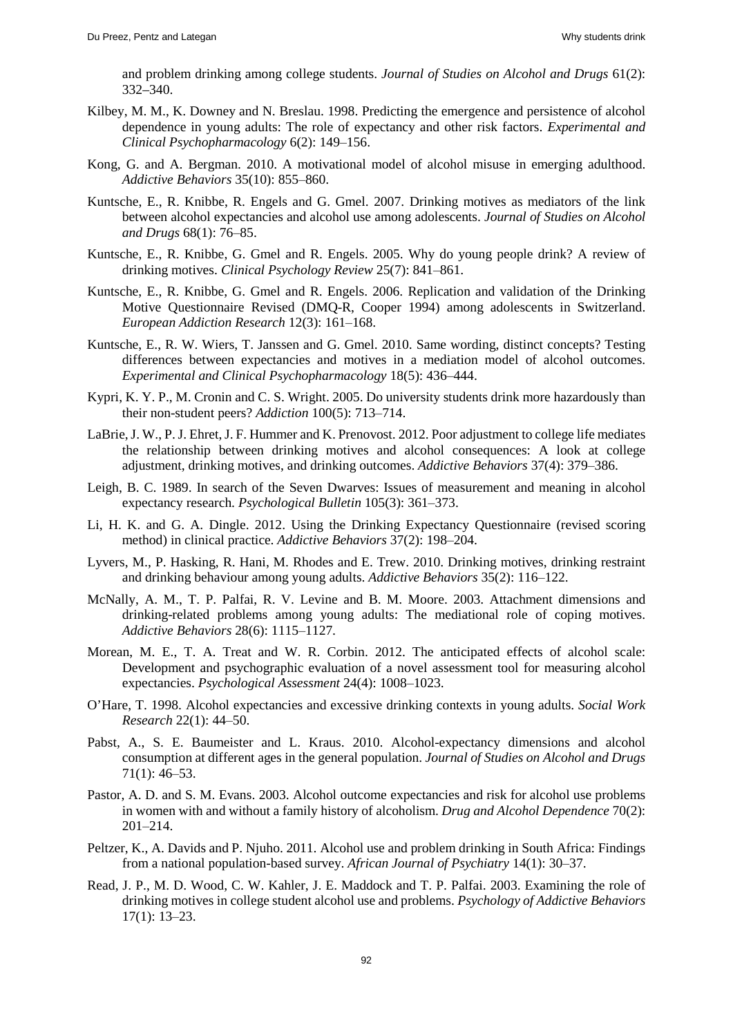and problem drinking among college students. *Journal of Studies on Alcohol and Drugs* 61(2): 332–340.

- Kilbey, M. M., K. Downey and N. Breslau. 1998. Predicting the emergence and persistence of alcohol dependence in young adults: The role of expectancy and other risk factors. *Experimental and Clinical Psychopharmacology* 6(2): 149‒156.
- Kong, G. and A. Bergman. 2010. A motivational model of alcohol misuse in emerging adulthood. *Addictive Behaviors* 35(10): 855‒860.
- Kuntsche, E., R. Knibbe, R. Engels and G. Gmel. 2007. Drinking motives as mediators of the link between alcohol expectancies and alcohol use among adolescents. *Journal of Studies on Alcohol and Drugs* 68(1): 76‒85.
- Kuntsche, E., R. Knibbe, G. Gmel and R. Engels. 2005. Why do young people drink? A review of drinking motives. *Clinical Psychology Review* 25(7): 841‒861.
- Kuntsche, E., R. Knibbe, G. Gmel and R. Engels. 2006. Replication and validation of the Drinking Motive Questionnaire Revised (DMQ-R, Cooper 1994) among adolescents in Switzerland. *European Addiction Research* 12(3): 161‒168.
- Kuntsche, E., R. W. Wiers, T. Janssen and G. Gmel. 2010. Same wording, distinct concepts? Testing differences between expectancies and motives in a mediation model of alcohol outcomes. *Experimental and Clinical Psychopharmacology* 18(5): 436‒444.
- Kypri, K. Y. P., M. Cronin and C. S. Wright. 2005. Do university students drink more hazardously than their non-student peers? *Addiction* 100(5): 713–714.
- LaBrie, J. W., P. J. Ehret, J. F. Hummer and K. Prenovost. 2012. Poor adjustment to college life mediates the relationship between drinking motives and alcohol consequences: A look at college adjustment, drinking motives, and drinking outcomes. *Addictive Behaviors* 37(4): 379‒386.
- Leigh, B. C. 1989. In search of the Seven Dwarves: Issues of measurement and meaning in alcohol expectancy research. *Psychological Bulletin* 105(3): 361–373.
- Li, H. K. and G. A. Dingle. 2012. Using the Drinking Expectancy Questionnaire (revised scoring method) in clinical practice. *Addictive Behaviors* 37(2): 198–204.
- Lyvers, M., P. Hasking, R. Hani, M. Rhodes and E. Trew. 2010. Drinking motives, drinking restraint and drinking behaviour among young adults. *Addictive Behaviors* 35(2): 116–122.
- McNally, A. M., T. P. Palfai, R. V. Levine and B. M. Moore. 2003. Attachment dimensions and drinking-related problems among young adults: The mediational role of coping motives. *Addictive Behaviors* 28(6): 1115‒1127.
- Morean, M. E., T. A. Treat and W. R. Corbin. 2012. The anticipated effects of alcohol scale: Development and psychographic evaluation of a novel assessment tool for measuring alcohol expectancies. *Psychological Assessment* 24(4): 1008-1023.
- O'Hare, T. 1998. Alcohol expectancies and excessive drinking contexts in young adults. *Social Work Research* 22(1): 44‒50.
- Pabst, A., S. E. Baumeister and L. Kraus. 2010. Alcohol-expectancy dimensions and alcohol consumption at different ages in the general population. *Journal of Studies on Alcohol and Drugs*  $71(1): 46-53.$
- Pastor, A. D. and S. M. Evans. 2003. Alcohol outcome expectancies and risk for alcohol use problems in women with and without a family history of alcoholism. *Drug and Alcohol Dependence* 70(2): 201‒214.
- Peltzer, K., A. Davids and P. Njuho. 2011. Alcohol use and problem drinking in South Africa: Findings from a national population-based survey. *African Journal of Psychiatry* 14(1): 30‒37.
- Read, J. P., M. D. Wood, C. W. Kahler, J. E. Maddock and T. P. Palfai. 2003. Examining the role of drinking motives in college student alcohol use and problems. *Psychology of Addictive Behaviors*  $17(1): 13-23.$